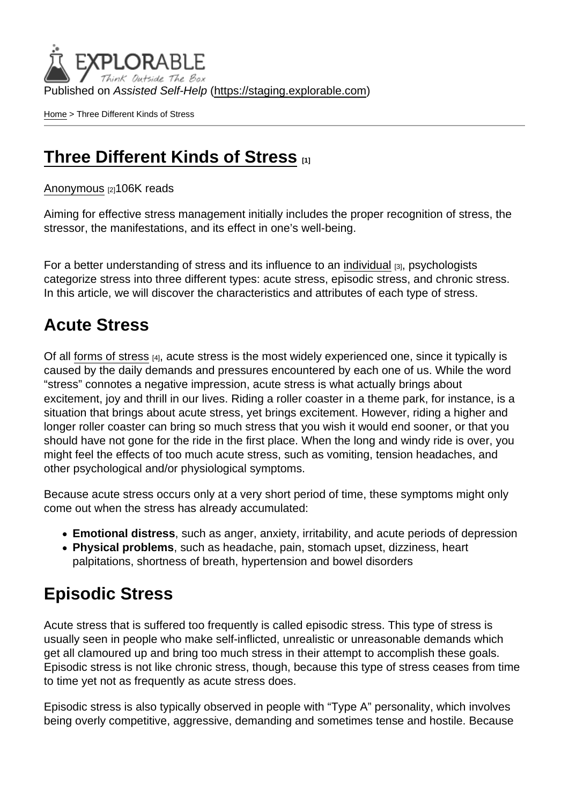Published on Assisted Self-Help [\(https://staging.explorable.com](https://staging.explorable.com))

[Home](https://staging.explorable.com/en) > Three Different Kinds of Stress

## [Three Different Kinds of Stress](https://staging.explorable.com/en/three-different-kinds-of-stress) [1]

#### [Anonymous](https://staging.explorable.com/en/users/sarah) [2]106K reads

Aiming for effective stress management initially includes the proper recognition of stress, the stressor, the manifestations, and its effect in one's well-being.

For a better understanding of stress and its influence to an [individual](https://staging.explorable.com/individual-differences-in-the-stress-response) [3], psychologists categorize stress into three different types: acute stress, episodic stress, and chronic stress. In this article, we will discover the characteristics and attributes of each type of stress.

### Acute Stress

Of all [forms of stress](http://www.apa.org/helpcenter/stress-kinds.aspx) [4], acute stress is the most widely experienced one, since it typically is caused by the daily demands and pressures encountered by each one of us. While the word "stress" connotes a negative impression, acute stress is what actually brings about excitement, joy and thrill in our lives. Riding a roller coaster in a theme park, for instance, is a situation that brings about acute stress, yet brings excitement. However, riding a higher and longer roller coaster can bring so much stress that you wish it would end sooner, or that you should have not gone for the ride in the first place. When the long and windy ride is over, you might feel the effects of too much acute stress, such as vomiting, tension headaches, and other psychological and/or physiological symptoms.

Because acute stress occurs only at a very short period of time, these symptoms might only come out when the stress has already accumulated:

- Emotional distress , such as anger, anxiety, irritability, and acute periods of depression
- Physical problems, such as headache, pain, stomach upset, dizziness, heart palpitations, shortness of breath, hypertension and bowel disorders

## Episodic Stress

Acute stress that is suffered too frequently is called episodic stress. This type of stress is usually seen in people who make self-inflicted, unrealistic or unreasonable demands which get all clamoured up and bring too much stress in their attempt to accomplish these goals. Episodic stress is not like chronic stress, though, because this type of stress ceases from time to time yet not as frequently as acute stress does.

Episodic stress is also typically observed in people with "Type A" personality, which involves being overly competitive, aggressive, demanding and sometimes tense and hostile. Because